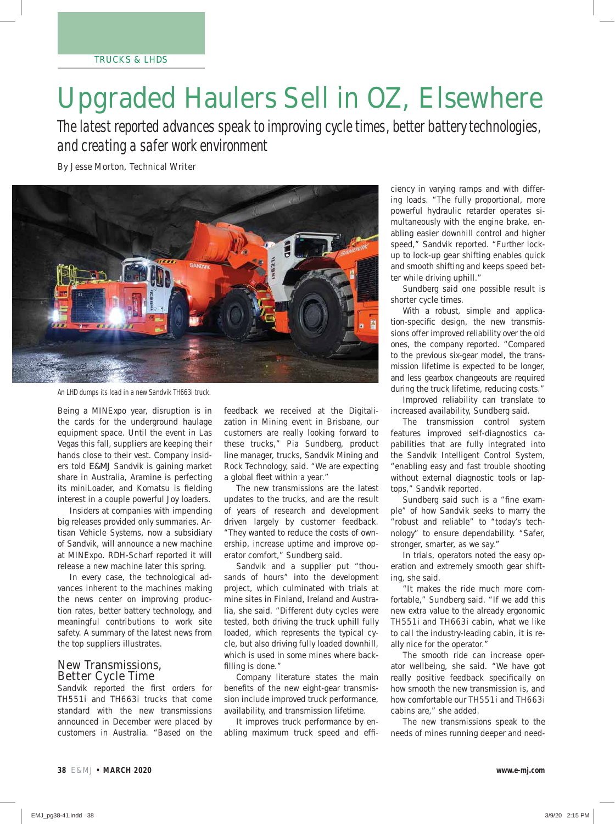# Upgraded Haulers Sell in OZ, Elsewhere

*The latest reported advances speak to improving cycle times, better battery technologies, and creating a safer work environment*

By Jesse Morton, Technical Writer



An LHD dumps its load in a new Sandvik TH663i truck.

Being a MINExpo year, disruption is in the cards for the underground haulage equipment space. Until the event in Las Vegas this fall, suppliers are keeping their hands close to their vest. Company insiders told *E&MJ* Sandvik is gaining market share in Australia, Aramine is perfecting its miniLoader, and Komatsu is fielding interest in a couple powerful Joy loaders.

 Insiders at companies with impending big releases provided only summaries. Artisan Vehicle Systems, now a subsidiary of Sandvik, will announce a new machine at MINExpo. RDH-Scharf reported it will release a new machine later this spring.

 In every case, the technological advances inherent to the machines making the news center on improving production rates, better battery technology, and meaningful contributions to work site safety. A summary of the latest news from the top suppliers illustrates.

## New Transmissions, Better Cycle Time

Sandvik reported the first orders for TH551i and TH663i trucks that come standard with the new transmissions announced in December were placed by customers in Australia. "Based on the feedback we received at the Digitalization in Mining event in Brisbane, our customers are really looking forward to these trucks," Pia Sundberg, product line manager, trucks, Sandvik Mining and Rock Technology, said. "We are expecting a global fleet within a year."

 The new transmissions are the latest updates to the trucks, and are the result of years of research and development driven largely by customer feedback. "They wanted to reduce the costs of ownership, increase uptime and improve operator comfort," Sundberg said.

 Sandvik and a supplier put "thousands of hours" into the development project, which culminated with trials at mine sites in Finland, Ireland and Australia, she said. "Different duty cycles were tested, both driving the truck uphill fully loaded, which represents the typical cycle, but also driving fully loaded downhill, which is used in some mines where backfilling is done."

 Company literature states the main benefits of the new eight-gear transmission include improved truck performance, availability, and transmission lifetime.

 It improves truck performance by enabling maximum truck speed and effi-

ciency in varying ramps and with differing loads. "The fully proportional, more powerful hydraulic retarder operates simultaneously with the engine brake, enabling easier downhill control and higher speed," Sandvik reported. "Further lockup to lock-up gear shifting enables quick and smooth shifting and keeps speed better while driving uphill."

 Sundberg said one possible result is shorter cycle times.

 With a robust, simple and application-specific design, the new transmissions offer improved reliability over the old ones, the company reported. "Compared to the previous six-gear model, the transmission lifetime is expected to be longer, and less gearbox changeouts are required during the truck lifetime, reducing costs."

 Improved reliability can translate to increased availability, Sundberg said.

 The transmission control system features improved self-diagnostics capabilities that are fully integrated into the Sandvik Intelligent Control System, "enabling easy and fast trouble shooting without external diagnostic tools or laptops," Sandvik reported.

Sundberg said such is a "fine example" of how Sandvik seeks to marry the "robust and reliable" to "today's technology" to ensure dependability. "Safer, stronger, smarter, as we say."

 In trials, operators noted the easy operation and extremely smooth gear shifting, she said.

 "It makes the ride much more comfortable," Sundberg said. "If we add this new extra value to the already ergonomic TH551i and TH663i cabin, what we like to call the industry-leading cabin, it is really nice for the operator."

 The smooth ride can increase operator wellbeing, she said. "We have got really positive feedback specifically on how smooth the new transmission is, and how comfortable our TH551i and TH663i cabins are," she added.

 The new transmissions speak to the needs of mines running deeper and need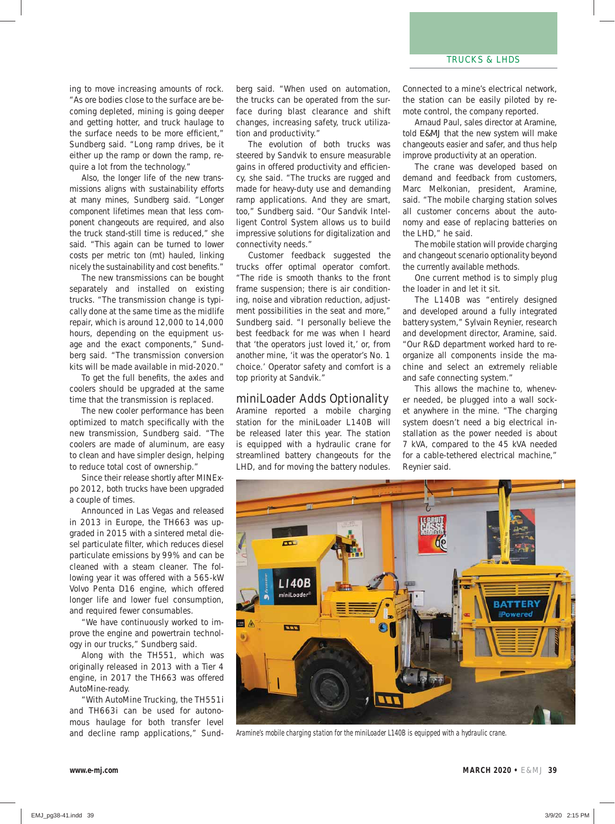ing to move increasing amounts of rock. "As ore bodies close to the surface are becoming depleted, mining is going deeper and getting hotter, and truck haulage to the surface needs to be more efficient." Sundberg said. "Long ramp drives, be it either up the ramp or down the ramp, require a lot from the technology."

 Also, the longer life of the new transmissions aligns with sustainability efforts at many mines, Sundberg said. "Longer component lifetimes mean that less component changeouts are required, and also the truck stand-still time is reduced," she said. "This again can be turned to lower costs per metric ton (mt) hauled, linking nicely the sustainability and cost benefits."

 The new transmissions can be bought separately and installed on existing trucks. "The transmission change is typically done at the same time as the midlife repair, which is around 12,000 to 14,000 hours, depending on the equipment usage and the exact components," Sundberg said. "The transmission conversion kits will be made available in mid-2020."

To get the full benefits, the axles and coolers should be upgraded at the same time that the transmission is replaced.

 The new cooler performance has been optimized to match specifically with the new transmission, Sundberg said. "The coolers are made of aluminum, are easy to clean and have simpler design, helping to reduce total cost of ownership."

 Since their release shortly after MINExpo 2012, both trucks have been upgraded a couple of times.

 Announced in Las Vegas and released in 2013 in Europe, the TH663 was upgraded in 2015 with a sintered metal diesel particulate filter, which reduces diesel particulate emissions by 99% and can be cleaned with a steam cleaner. The following year it was offered with a 565-kW Volvo Penta D16 engine, which offered longer life and lower fuel consumption, and required fewer consumables.

 "We have continuously worked to improve the engine and powertrain technology in our trucks," Sundberg said.

 Along with the TH551, which was originally released in 2013 with a Tier 4 engine, in 2017 the TH663 was offered AutoMine-ready.

 "With AutoMine Trucking, the TH551i and TH663i can be used for autonomous haulage for both transfer level and decline ramp applications," Sundberg said. "When used on automation, the trucks can be operated from the surface during blast clearance and shift changes, increasing safety, truck utilization and productivity."

 The evolution of both trucks was steered by Sandvik to ensure measurable gains in offered productivity and efficiency, she said. "The trucks are rugged and made for heavy-duty use and demanding ramp applications. And they are smart, too," Sundberg said. "Our Sandvik Intelligent Control System allows us to build impressive solutions for digitalization and connectivity needs."

 Customer feedback suggested the trucks offer optimal operator comfort. "The ride is smooth thanks to the front frame suspension; there is air conditioning, noise and vibration reduction, adjustment possibilities in the seat and more," Sundberg said. "I personally believe the best feedback for me was when I heard that 'the operators just loved it,' or, from another mine, 'it was the operator's No. 1 choice.' Operator safety and comfort is a top priority at Sandvik."

#### miniLoader Adds Optionality

Aramine reported a mobile charging station for the miniLoader L140B will be released later this year. The station is equipped with a hydraulic crane for streamlined battery changeouts for the LHD, and for moving the battery nodules.

Connected to a mine's electrical network, the station can be easily piloted by remote control, the company reported.

 Arnaud Paul, sales director at Aramine, told *E&MJ* that the new system will make changeouts easier and safer, and thus help improve productivity at an operation.

 The crane was developed based on demand and feedback from customers, Marc Melkonian, president, Aramine, said. "The mobile charging station solves all customer concerns about the autonomy and ease of replacing batteries on the LHD," he said.

 The mobile station will provide charging and changeout scenario optionality beyond the currently available methods.

 One current method is to simply plug the loader in and let it sit.

 The L140B was "entirely designed and developed around a fully integrated battery system," Sylvain Reynier, research and development director, Aramine, said. "Our R&D department worked hard to reorganize all components inside the machine and select an extremely reliable and safe connecting system."

 This allows the machine to, whenever needed, be plugged into a wall socket anywhere in the mine. "The charging system doesn't need a big electrical installation as the power needed is about 7 kVA, compared to the 45 kVA needed for a cable-tethered electrical machine," Reynier said.



Aramine's mobile charging station for the miniLoader L140B is equipped with a hydraulic crane.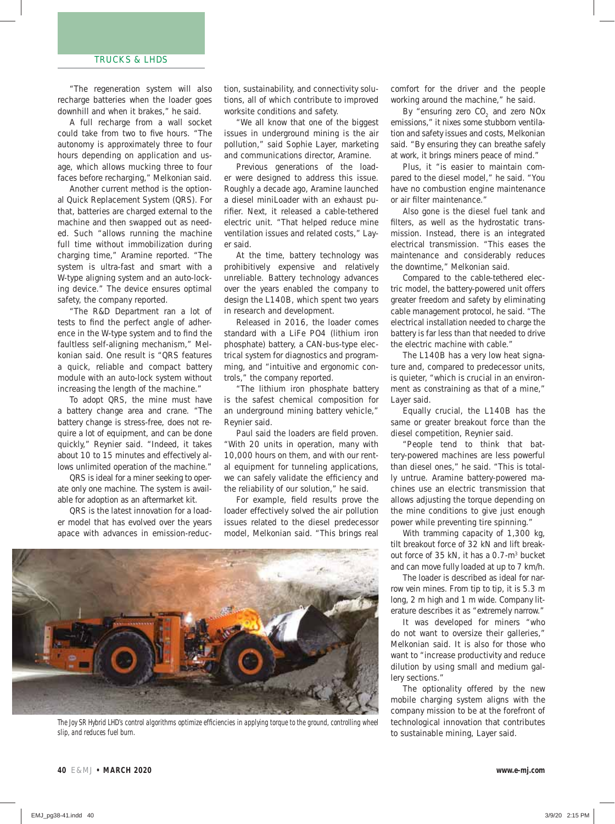"The regeneration system will also recharge batteries when the loader goes downhill and when it brakes," he said.

 A full recharge from a wall socket could take from two to five hours. "The autonomy is approximately three to four hours depending on application and usage, which allows mucking three to four faces before recharging," Melkonian said.

 Another current method is the optional Quick Replacement System (QRS). For that, batteries are charged external to the machine and then swapped out as needed. Such "allows running the machine full time without immobilization during charging time," Aramine reported. "The system is ultra-fast and smart with a W-type aligning system and an auto-locking device." The device ensures optimal safety, the company reported.

 "The R&D Department ran a lot of tests to find the perfect angle of adherence in the W-type system and to find the faultless self-aligning mechanism," Melkonian said. One result is "QRS features a quick, reliable and compact battery module with an auto-lock system without increasing the length of the machine."

 To adopt QRS, the mine must have a battery change area and crane. "The battery change is stress-free, does not require a lot of equipment, and can be done quickly," Reynier said. "Indeed, it takes about 10 to 15 minutes and effectively allows unlimited operation of the machine."

 QRS is ideal for a miner seeking to operate only one machine. The system is available for adoption as an aftermarket kit.

 QRS is the latest innovation for a loader model that has evolved over the years apace with advances in emission-reduc-

tion, sustainability, and connectivity solutions, all of which contribute to improved worksite conditions and safety.

 "We all know that one of the biggest issues in underground mining is the air pollution," said Sophie Layer, marketing and communications director, Aramine.

 Previous generations of the loader were designed to address this issue. Roughly a decade ago, Aramine launched a diesel miniLoader with an exhaust purifier. Next, it released a cable-tethered electric unit. "That helped reduce mine ventilation issues and related costs," Layer said.

 At the time, battery technology was prohibitively expensive and relatively unreliable. Battery technology advances over the years enabled the company to design the L140B, which spent two years in research and development.

 Released in 2016, the loader comes standard with a LiFe PO4 (lithium iron phosphate) battery, a CAN-bus-type electrical system for diagnostics and programming, and "intuitive and ergonomic controls," the company reported.

 "The lithium iron phosphate battery is the safest chemical composition for an underground mining battery vehicle," Reynier said.

Paul said the loaders are field proven. "With 20 units in operation, many with 10,000 hours on them, and with our rental equipment for tunneling applications, we can safely validate the efficiency and the reliability of our solution," he said.

For example, field results prove the loader effectively solved the air pollution issues related to the diesel predecessor model, Melkonian said. "This brings real



The Joy SR Hybrid LHD's control algorithms optimize efficiencies in applying torque to the ground, controlling wheel slip, and reduces fuel burn.

comfort for the driver and the people working around the machine," he said.

By "ensuring zero CO<sub>2</sub> and zero NO<sub>x</sub> emissions," it nixes some stubborn ventilation and safety issues and costs, Melkonian said. "By ensuring they can breathe safely at work, it brings miners peace of mind."

 Plus, it "is easier to maintain compared to the diesel model," he said. "You have no combustion engine maintenance or air filter maintenance."

 Also gone is the diesel fuel tank and filters, as well as the hydrostatic transmission. Instead, there is an integrated electrical transmission. "This eases the maintenance and considerably reduces the downtime," Melkonian said.

 Compared to the cable-tethered electric model, the battery-powered unit offers greater freedom and safety by eliminating cable management protocol, he said. "The electrical installation needed to charge the battery is far less than that needed to drive the electric machine with cable."

 The L140B has a very low heat signature and, compared to predecessor units, is quieter, "which is crucial in an environment as constraining as that of a mine," Layer said.

 Equally crucial, the L140B has the same or greater breakout force than the diesel competition, Reynier said.

 "People tend to think that battery-powered machines are less powerful than diesel ones," he said. "This is totally untrue. Aramine battery-powered machines use an electric transmission that allows adjusting the torque depending on the mine conditions to give just enough power while preventing tire spinning."

With tramming capacity of 1,300 kg, tilt breakout force of 32 kN and lift breakout force of 35 kN, it has a 0.7-m3 bucket and can move fully loaded at up to 7 km/h.

 The loader is described as ideal for narrow vein mines. From tip to tip, it is 5.3 m long, 2 m high and 1 m wide. Company literature describes it as "extremely narrow."

 It was developed for miners "who do not want to oversize their galleries," Melkonian said. It is also for those who want to "increase productivity and reduce dilution by using small and medium gallery sections."

 The optionality offered by the new mobile charging system aligns with the company mission to be at the forefront of technological innovation that contributes to sustainable mining, Layer said.